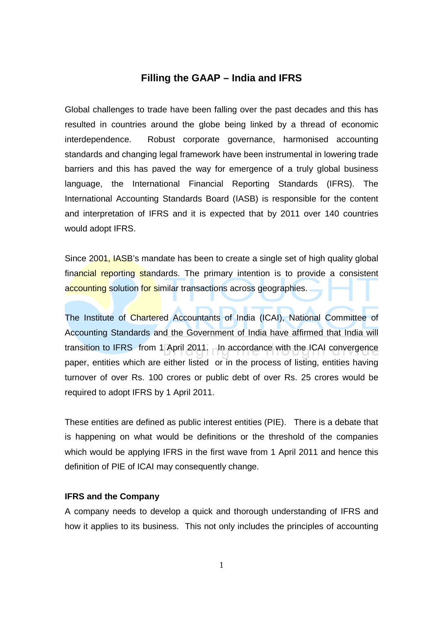## **Filling the GAAP – India and IFRS**

Global challenges to trade have been falling over the past decades and this has resulted in countries around the globe being linked by a thread of economic interdependence. Robust corporate governance, harmonised accounting standards and changing legal framework have been instrumental in lowering trade barriers and this has paved the way for emergence of a truly global business language, the International Financial Reporting Standards (IFRS). The International Accounting Standards Board (IASB) is responsible for the content and interpretation of IFRS and it is expected that by 2011 over 140 countries would adopt IFRS.

Since 2001, IASB's mandate has been to create a single set of high quality global financial reporting standards. The primary intention is to provide a consistent accounting solution for similar transactions across geographies.

The Institute of Chartered Accountants of India (ICAI), National Committee of Accounting Standards and the Government of India have affirmed that India will transition to IFRS from 1 April 2011. In accordance with the ICAI convergence paper, entities which are either listed or in the process of listing, entities having turnover of over Rs. 100 crores or public debt of over Rs. 25 crores would be required to adopt IFRS by 1 April 2011.

These entities are defined as public interest entities (PIE). There is a debate that is happening on what would be definitions or the threshold of the companies which would be applying IFRS in the first wave from 1 April 2011 and hence this definition of PIE of ICAI may consequently change.

## **IFRS and the Company**

A company needs to develop a quick and thorough understanding of IFRS and how it applies to its business. This not only includes the principles of accounting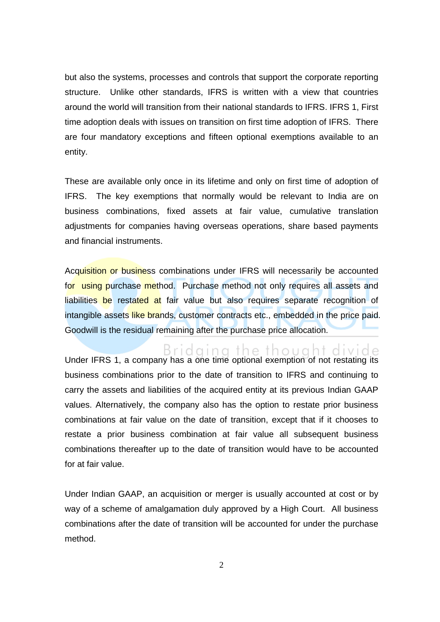but also the systems, processes and controls that support the corporate reporting structure. Unlike other standards, IFRS is written with a view that countries around the world will transition from their national standards to IFRS. IFRS 1, First time adoption deals with issues on transition on first time adoption of IFRS. There are four mandatory exceptions and fifteen optional exemptions available to an entity.

These are available only once in its lifetime and only on first time of adoption of IFRS. The key exemptions that normally would be relevant to India are on business combinations, fixed assets at fair value, cumulative translation adjustments for companies having overseas operations, share based payments and financial instruments.

Acquisition or business combinations under IFRS will necessarily be accounted for using purchase method. Purchase method not only requires all assets and liabilities be restated at fair value but also requires separate recognition of intangible assets like brands, customer contracts etc., embedded in the price paid. Goodwill is the residual remaining after the purchase price allocation.

 $B \cap C$  and  $B \cap C$  in  $C$  the thought divide under IFRS 1, a company has a one time optional exemption of not restating its business combinations prior to the date of transition to IFRS and continuing to carry the assets and liabilities of the acquired entity at its previous Indian GAAP values. Alternatively, the company also has the option to restate prior business combinations at fair value on the date of transition, except that if it chooses to restate a prior business combination at fair value all subsequent business combinations thereafter up to the date of transition would have to be accounted for at fair value.

Under Indian GAAP, an acquisition or merger is usually accounted at cost or by way of a scheme of amalgamation duly approved by a High Court. All business combinations after the date of transition will be accounted for under the purchase method.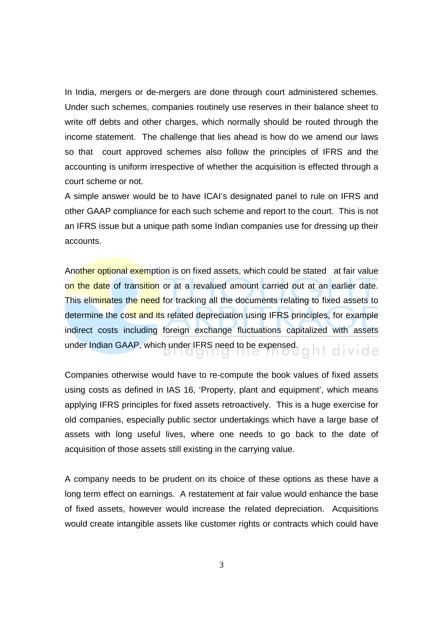In India, mergers or de-mergers are done through court administered schemes. Under such schemes, companies routinely use reserves in their balance sheet to write off debts and other charges, which normally should be routed through the income statement. The challenge that lies ahead is how do we amend our laws so that court approved schemes also follow the principles of IFRS and the accounting is uniform irrespective of whether the acquisition is effected through a court scheme or not.

A simple answer would be to have ICAI's designated panel to rule on IFRS and other GAAP compliance for each such scheme and report to the court. This is not an IFRS issue but a unique path some Indian companies use for dressing up their accounts.

Another optional exemption is on fixed assets, which could be stated at fair value on the date of transition or at a revalued amount carried out at an earlier date. This eliminates the need for tracking all the documents relating to fixed assets to determine the cost and its related depreciation using IFRS principles, for example indirect costs including foreign exchange fluctuations capitalized with assets under Indian GAAP, which under IFRS need to be expensed.  $q \upharpoonright f \upharpoonright q \upharpoonright g \upharpoonright g \upharpoonright g \upharpoonright g \upharpoonright g \upharpoonright g \upharpoonright g \upharpoonright g \upharpoonright g \upharpoonright g \upharpoonright g \upharpoonright g \upharpoonright g \upharpoonright g \upharpoonright g \upharpoonright g \upharpoonright g \upharpoonright g \upharpoonright g \upharpoonright g \upharpoonright g \upharpoonright g \upharpoonright g \upharpoonright g \upharpoonright g \$ 

Companies otherwise would have to re-compute the book values of fixed assets using costs as defined in IAS 16, 'Property, plant and equipment', which means applying IFRS principles for fixed assets retroactively. This is a huge exercise for old companies, especially public sector undertakings which have a large base of assets with long useful lives, where one needs to go back to the date of acquisition of those assets still existing in the carrying value.

A company needs to be prudent on its choice of these options as these have a long term effect on earnings. A restatement at fair value would enhance the base of fixed assets, however would increase the related depreciation. Acquisitions would create intangible assets like customer rights or contracts which could have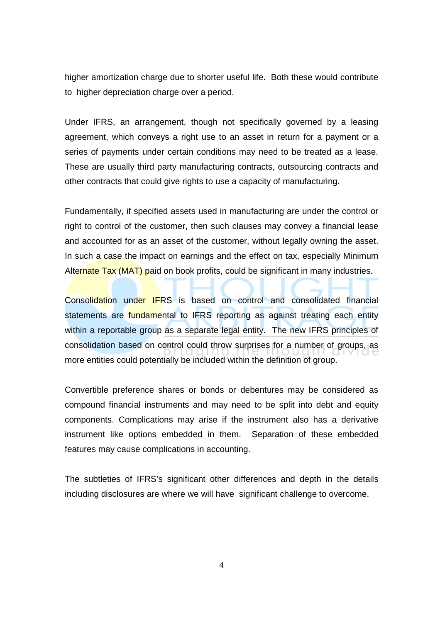higher amortization charge due to shorter useful life. Both these would contribute to higher depreciation charge over a period.

Under IFRS, an arrangement, though not specifically governed by a leasing agreement, which conveys a right use to an asset in return for a payment or a series of payments under certain conditions may need to be treated as a lease. These are usually third party manufacturing contracts, outsourcing contracts and other contracts that could give rights to use a capacity of manufacturing.

Fundamentally, if specified assets used in manufacturing are under the control or right to control of the customer, then such clauses may convey a financial lease and accounted for as an asset of the customer, without legally owning the asset. In such a case the impact on earnings and the effect on tax, especially Minimum Alternate Tax (MAT) paid on book profits, could be significant in many industries.

Consolidation under IFRS is based on control and consolidated financial statements are fundamental to IFRS reporting as against treating each entity within a reportable group as a separate legal entity. The new IFRS principles of consolidation based on control could throw surprises for a number of groups, as more entities could potentially be included within the definition of group.

Convertible preference shares or bonds or debentures may be considered as compound financial instruments and may need to be split into debt and equity components. Complications may arise if the instrument also has a derivative instrument like options embedded in them. Separation of these embedded features may cause complications in accounting.

The subtleties of IFRS's significant other differences and depth in the details including disclosures are where we will have significant challenge to overcome.